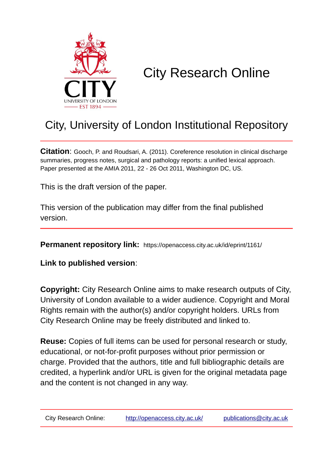

# City Research Online

## City, University of London Institutional Repository

**Citation**: Gooch, P. and Roudsari, A. (2011). Coreference resolution in clinical discharge summaries, progress notes, surgical and pathology reports: a unified lexical approach. Paper presented at the AMIA 2011, 22 - 26 Oct 2011, Washington DC, US.

This is the draft version of the paper.

This version of the publication may differ from the final published version.

**Permanent repository link:** https://openaccess.city.ac.uk/id/eprint/1161/

**Link to published version**:

**Copyright:** City Research Online aims to make research outputs of City, University of London available to a wider audience. Copyright and Moral Rights remain with the author(s) and/or copyright holders. URLs from City Research Online may be freely distributed and linked to.

**Reuse:** Copies of full items can be used for personal research or study, educational, or not-for-profit purposes without prior permission or charge. Provided that the authors, title and full bibliographic details are credited, a hyperlink and/or URL is given for the original metadata page and the content is not changed in any way.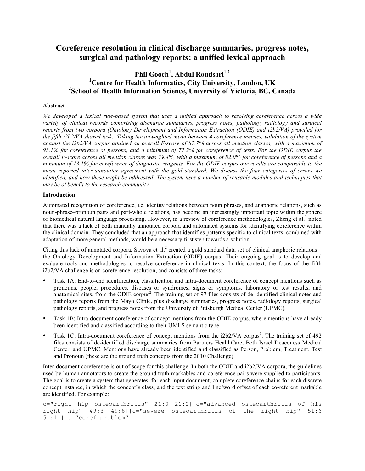## **Coreference resolution in clinical discharge summaries, progress notes, surgical and pathology reports: a unified lexical approach**

### **Phil Gooch<sup>1</sup> , Abdul Roudsari1,2 1 Centre for Health Informatics, City University, London, UK 2 School of Health Information Science, University of Victoria, BC, Canada**

#### **Abstract**

*We developed a lexical rule-based system that uses a unified approach to resolving coreference across a wide variety of clinical records comprising discharge summaries, progress notes, pathology, radiology and surgical reports from two corpora (Ontology Development and Information Extraction (ODIE) and i2b2/VA) provided for the fifth i2b2/VA shared task. Taking the unweighted mean between 4 coreference metrics, validation of the system against the i2b2/VA corpus attained an overall F-score of 87.7% across all mention classes, with a maximum of 93.1% for coreference of persons, and a minimum of 77.2% for coreference of tests. For the ODIE corpus the overall F-score across all mention classes was 79.4%, with a maximum of 82.0% for coreference of persons and a minimum of 13.1% for coreference of diagnostic reagents. For the ODIE corpus our results are comparable to the mean reported inter-annotator agreement with the gold standard. We discuss the four categories of errors we identified, and how these might be addressed. The system uses a number of reusable modules and techniques that may be of benefit to the research community.*

#### **Introduction**

Automated recognition of coreference, i.e. identity relations between noun phrases, and anaphoric relations, such as noun-phrase–pronoun pairs and part-whole relations, has become an increasingly important topic within the sphere of biomedical natural language processing. However, in a review of coreference methodologies, Zheng et al.<sup>1</sup> noted that there was a lack of both manually annotated corpora and automated systems for identifying coreference within the clinical domain. They concluded that an approach that identifies patterns specific to clinical texts, combined with adaptation of more general methods, would be a necessary first step towards a solution.<sup>1</sup>

Citing this lack of annotated corpora, Savova et al.<sup>2</sup> created a gold standard data set of clinical anaphoric relations – the Ontology Development and Information Extraction (ODIE) corpus. Their ongoing goal is to develop and evaluate tools and methodologies to resolve coreference in clinical texts. In this context, the focus of the fifth i2b2/VA challenge is on coreference resolution, and consists of three tasks:

- Task 1A: End-to-end identification, classification and intra-document coreference of concept mentions such as pronouns, people, procedures, diseases or syndromes, signs or symptoms, laboratory or test results, and anatomical sites, from the ODIE corpus<sup>2</sup>. The training set of 97 files consists of de-identified clinical notes and pathology reports from the Mayo Clinic, plus discharge summaries, progress notes, radiology reports, surgical pathology reports, and progress notes from the University of Pittsburgh Medical Center (UPMC).
- Task 1B: Intra-document coreference of concept mentions from the ODIE corpus, where mentions have already been identified and classified according to their UMLS semantic type.
- Task 1C: Intra-document coreference of concept mentions from the i2b2/VA corpus<sup>3</sup>. The training set of 492 files consists of de-identified discharge summaries from Partners HealthCare, Beth Israel Deaconess Medical Center, and UPMC. Mentions have already been identified and classified as Person, Problem, Treatment, Test and Pronoun (these are the ground truth concepts from the 2010 Challenge).

Inter-document coreference is out of scope for this challenge. In both the ODIE and i2b2/VA corpora, the guidelines used by human annotators to create the ground truth markables and coreference pairs were supplied to participants. The goal is to create a system that generates, for each input document, complete coreference chains for each discrete concept instance, in which the concept's class, and the text string and line/word offset of each co-referent markable are identified. For example:

```
c="right hip osteoarthritis" 21:0 21:2||c="advanced osteoarthritis of his 
right hip" 49:3 49:8||c="severe osteoarthritis of the right hip" 51:6 
51:11||t="coref problem"
```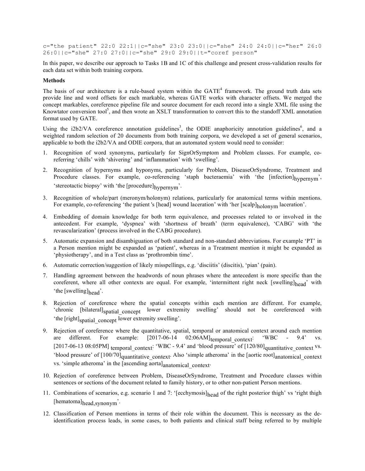c="the patient" 22:0 22:1||c="she" 23:0 23:0||c="she" 24:0 24:0||c="her" 26:0 26:0||c="she" 27:0 27:0||c="she" 29:0 29:0||t="coref person"

In this paper, we describe our approach to Tasks 1B and 1C of this challenge and present cross-validation results for each data set within both training corpora.

#### **Methods**

The basis of our architecture is a rule-based system within the  $GATE<sup>4</sup>$  framework. The ground truth data sets provide line and word offsets for each markable, whereas GATE works with character offsets. We merged the concept markables, coreference pipeline file and source document for each record into a single XML file using the Knowtator conversion tool<sup>5</sup>, and then wrote an XSLT transformation to convert this to the standoff XML annotation format used by GATE.

Using the i2b2/VA coreference annotation guidelines<sup>3</sup>, the ODIE anaphoricity annotation guidelines<sup>6</sup>, and a weighted random selection of 20 documents from both training corpora, we developed a set of general scenarios, applicable to both the i2b2/VA and ODIE corpora, that an automated system would need to consider:

- 1. Recognition of word synonyms, particularly for SignOrSymptom and Problem classes. For example, coreferring 'chills' with 'shivering' and 'inflammation' with 'swelling'.
- 2. Recognition of hypernyms and hyponyms, particularly for Problem, DiseaseOrSyndrome, Treatment and Procedure classes. For example, co-referencing 'staph bacteraemia' with 'the [infection]<sub>hypernym</sub>', 'stereotactic biopsy' with 'the [procedure]<sub>hypernym</sub>'.
- 3. Recognition of whole/part (meronym/holonym) relations, particularly for anatomical terms within mentions. For example, co-referencing 'the patient's [head] wound laceration' with 'her [scalp]<sub>holonym</sub> laceration'.
- 4. Embedding of domain knowledge for both term equivalence, and processes related to or involved in the antecedent. For example, 'dyspnea' with 'shortness of breath' (term equivalence), 'CABG' with 'the revascularization' (process involved in the CABG procedure).
- 5. Automatic expansion and disambiguation of both standard and non-standard abbreviations. For example 'PT' in a Person mention might be expanded as 'patient', whereas in a Treatment mention it might be expanded as 'physiotherapy', and in a Test class as 'prothrombin time'.
- 6. Automatic correction/suggestion of likely misspellings, e.g. 'disciitis' (discitis), 'pian' (pain).
- 7. Handling agreement between the headwords of noun phrases where the antecedent is more specific than the coreferent, where all other contexts are equal. For example, 'intermittent right neck [swelling] $_{\text{head}}$ ' with 'the [swelling]<sub>head</sub>'.
- 8. Rejection of coreference where the spatial concepts within each mention are different. For example, 'chronic [bilateral]<sub>spatial</sub> concept lower extremity swelling' should not be coreferenced with 'the [right]<sub>spatial\_concept</sub> lower extremity swelling'.
- 9. Rejection of coreference where the quantitative, spatial, temporal or anatomical context around each mention are different. For example:  $[2017-06-14 \quad 02:06AM]$ <sub>temporal</sub> context: 'WBC - 9.4' [2017-06-13 08:05PM] temporal\_context: 'WBC - 9.4' and 'blood pressure' of [120/80]<sub>quantitative\_context</sub> vs. 'blood pressure' of  $[100/70]$ quantitative\_context. Also 'simple atheroma' in the [aortic root]<sub>anatomical\_context</sub> vs. 'simple atheroma' in the [ascending aorta]<sub>anatomical</sub> context<sup>.</sup>
- 10. Rejection of coreference between Problem, DiseaseOrSyndrome, Treatment and Procedure classes within sentences or sections of the document related to family history, or to other non-patient Person mentions.
- 11. Combinations of scenarios, e.g. scenario 1 and 7: '[ecchymosis]<sub>head</sub> of the right posterior thigh' vs 'right thigh [hematoma]head,synonym'.
- 12. Classification of Person mentions in terms of their role within the document. This is necessary as the deidentification process leads, in some cases, to both patients and clinical staff being referred to by multiple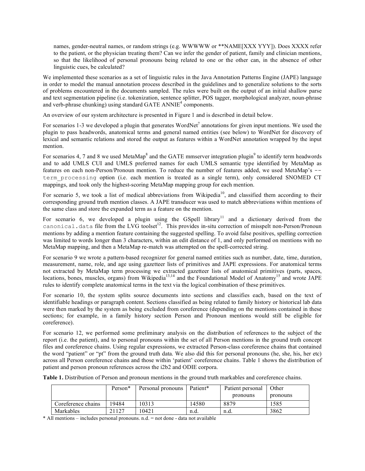names, gender-neutral names, or random strings (e.g. WWWWW or \*\*NAME[XXX YYY]). Does XXXX refer to the patient, or the physician treating them? Can we infer the gender of patient, family and clinician mentions, so that the likelihood of personal pronouns being related to one or the other can, in the absence of other linguistic cues, be calculated?

We implemented these scenarios as a set of linguistic rules in the Java Annotation Patterns Engine (JAPE) language in order to model the manual annotation process described in the guidelines and to generalize solutions to the sorts of problems encountered in the documents sampled. The rules were built on the output of an initial shallow parse and text segmentation pipeline (i.e. tokenization, sentence splitter, POS tagger, morphological analyzer, noun-phrase and verb-phrase chunking) using standard GATE ANNIE<sup>4</sup> components.

An overview of our system architecture is presented in Figure 1 and is described in detail below.

For scenarios 1-3 we developed a plugin that generates WordNet<sup>7</sup> annotations for given input mentions. We used the plugin to pass headwords, anatomical terms and general named entities (see below) to WordNet for discovery of lexical and semantic relations and stored the output as features within a WordNet annotation wrapped by the input mention.

For scenarios 4, 7 and 8 we used MetaMap<sup>8</sup> and the GATE mmserver integration plugin<sup>9</sup> to identify term headwords and to add UMLS CUI and UMLS preferred names for each UMLS semantic type identified by MetaMap as features on each non-Person/Pronoun mention. To reduce the number of features added, we used MetaMap's - term\_processing option (i.e. each mention is treated as a single term), only considered SNOMED CT mappings, and took only the highest-scoring MetaMap mapping group for each mention.

For scenario 5, we took a list of medical abbreviations from Wikipedia<sup>10</sup>, and classified them according to their corresponding ground truth mention classes. A JAPE transducer was used to match abbreviations within mentions of the same class and store the expanded term as a feature on the mention.

For scenario 6, we developed a plugin using the GSpell library<sup>11</sup> and a dictionary derived from the canonical.data file from the LVG toolset<sup>12</sup>. This provides in-situ correction of misspelt non-Person/Pronoun mentions by adding a mention feature containing the suggested spelling. To avoid false positives, spelling correction was limited to words longer than 3 characters, within an edit distance of 1, and only performed on mentions with no MetaMap mapping, and then a MetaMap re-match was attempted on the spell-corrected string.

For scenario 9 we wrote a pattern-based recognizer for general named entities such as number, date, time, duration, measurement, name, role, and age using gazetteer lists of primitives and JAPE expressions. For anatomical terms not extracted by MetaMap term processing we extracted gazetteer lists of anatomical primitives (parts, spaces, locations, bones, muscles, organs) from Wikipedia<sup>13,14</sup> and the Foundational Model of Anatomy<sup>15</sup> and wrote JAPE rules to identify complete anatomical terms in the text via the logical combination of these primitives.

For scenario 10, the system splits source documents into sections and classifies each, based on the text of identifiable headings or paragraph content. Sections classified as being related to family history or historical lab data were then marked by the system as being excluded from coreference (depending on the mentions contained in these sections; for example, in a family history section Person and Pronoun mentions would still be eligible for coreference).

For scenario 12, we performed some preliminary analysis on the distribution of references to the subject of the report (i.e. the patient), and to personal pronouns within the set of all Person mentions in the ground truth concept files and coreference chains. Using regular expressions, we extracted Person-class coreference chains that contained the word "patient" or "pt" from the ground truth data. We also did this for personal pronouns (he, she, his, her etc) across all Person coreference chains and those within 'patient' coreference chains. Table 1 shows the distribution of patient and person pronoun references across the i2b2 and ODIE corpora.

| Table 1. Distribution of Person and pronoun mentions in the ground truth markables and coreference chains. |  |  |  |
|------------------------------------------------------------------------------------------------------------|--|--|--|
|------------------------------------------------------------------------------------------------------------|--|--|--|

|                    | Person* | Personal pronouns | Patient* | Patient personal | Other    |  |
|--------------------|---------|-------------------|----------|------------------|----------|--|
|                    |         |                   |          | pronouns         | pronouns |  |
| Coreference chains | 19484   | 10313             | 14580    | 8879             | 1585     |  |
| Markables          | 21127   | 0421              | n.d.     | n.d.             | 3862     |  |

\* All mentions – includes personal pronouns. n.d. = not done - data not available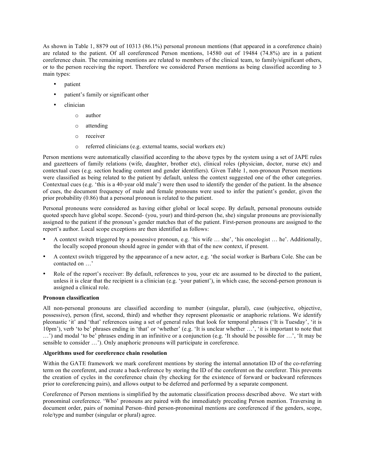As shown in Table 1, 8879 out of 10313 (86.1%) personal pronoun mentions (that appeared in a coreference chain) are related to the patient. Of all coreferenced Person mentions, 14580 out of 19484 (74.8%) are in a patient coreference chain. The remaining mentions are related to members of the clinical team, to family/significant others, or to the person receiving the report. Therefore we considered Person mentions as being classified according to 3 main types:

- patient
- patient's family or significant other
- clinician
	- o author
	- o attending
	- o receiver
	- o referred clinicians (e.g. external teams, social workers etc)

Person mentions were automatically classified according to the above types by the system using a set of JAPE rules and gazetteers of family relations (wife, daughter, brother etc), clinical roles (physician, doctor, nurse etc) and contextual cues (e.g. section heading content and gender identifiers). Given Table 1, non-pronoun Person mentions were classified as being related to the patient by default, unless the context suggested one of the other categories. Contextual cues (e.g. 'this is a 40-year old male') were then used to identify the gender of the patient. In the absence of cues, the document frequency of male and female pronouns were used to infer the patient's gender, given the prior probability (0.86) that a personal pronoun is related to the patient.

Personal pronouns were considered as having either global or local scope. By default, personal pronouns outside quoted speech have global scope. Second- (you, your) and third-person (he, she) singular pronouns are provisionally assigned to the patient if the pronoun's gender matches that of the patient. First-person pronouns are assigned to the report's author. Local scope exceptions are then identified as follows:

- A context switch triggered by a possessive pronoun, e.g. 'his wife … she', 'his oncologist … he'. Additionally, the locally scoped pronoun should agree in gender with that of the new context, if present.
- A context switch triggered by the appearance of a new actor, e.g. 'the social worker is Barbara Cole. She can be contacted on …'
- Role of the report's receiver: By default, references to you, your etc are assumed to be directed to the patient, unless it is clear that the recipient is a clinician (e.g. 'your patient'), in which case, the second-person pronoun is assigned a clinical role.

#### **Pronoun classification**

All non-personal pronouns are classified according to number (singular, plural), case (subjective, objective, possessive), person (first, second, third) and whether they represent pleonastic or anaphoric relations. We identify pleonastic 'it' and 'that' references using a set of general rules that look for temporal phrases ('It is Tuesday', 'it is 10pm'), verb 'to be' phrases ending in 'that' or 'whether' (e.g. 'It is unclear whether …', 'it is important to note that …') and modal 'to be' phrases ending in an infinitive or a conjunction (e.g. 'It should be possible for …', 'It may be sensible to consider …'). Only anaphoric pronouns will participate in coreference.

#### **Algorithms used for coreference chain resolution**

Within the GATE framework we mark coreferent mentions by storing the internal annotation ID of the co-referring term on the coreferent, and create a back-reference by storing the ID of the coreferent on the coreferer. This prevents the creation of cycles in the coreference chain (by checking for the existence of forward or backward references prior to coreferencing pairs), and allows output to be deferred and performed by a separate component.

Coreference of Person mentions is simplified by the automatic classification process described above. We start with pronominal coreference. 'Who' pronouns are paired with the immediately preceding Person mention. Traversing in document order, pairs of nominal Person–third person-pronominal mentions are coreferenced if the genders, scope, role/type and number (singular or plural) agree.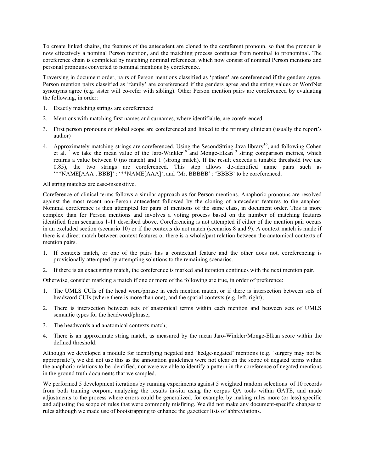To create linked chains, the features of the antecedent are cloned to the coreferent pronoun, so that the pronoun is now effectively a nominal Person mention, and the matching process continues from nominal to pronominal. The coreference chain is completed by matching nominal references, which now consist of nominal Person mentions and personal pronouns converted to nominal mentions by coreference.

Traversing in document order, pairs of Person mentions classified as 'patient' are coreferenced if the genders agree. Person mention pairs classified as 'family' are coreferenced if the genders agree and the string values or WordNet synonyms agree (e.g. sister will co-refer with sibling). Other Person mention pairs are coreferenced by evaluating the following, in order:

- 1. Exactly matching strings are coreferenced
- 2. Mentions with matching first names and surnames, where identifiable, are coreferenced
- 3. First person pronouns of global scope are coreferenced and linked to the primary clinician (usually the report's author)
- 4. Approximately matching strings are coreferenced. Using the SecondString Java library<sup>16</sup>, and following Cohen et al.<sup>17</sup> we take the mean value of the Jaro-Winkler<sup>18</sup> and Monge-Elkan<sup>19</sup> string comparison metrics, which returns a value between 0 (no match) and 1 (strong match). If the result exceeds a tunable threshold (we use 0.85), the two strings are coreferenced. This step allows de-identified name pairs such as '\*\*NAME[AAA , BBB]' : '\*\*NAME[AAA]', and 'Mr. BBBBB' : 'BBBB' to be coreferenced.

#### All string matches are case-insensitive.

Coreference of clinical terms follows a similar approach as for Person mentions. Anaphoric pronouns are resolved against the most recent non-Person antecedent followed by the cloning of antecedent features to the anaphor. Nominal coreference is then attempted for pairs of mentions of the same class, in document order. This is more complex than for Person mentions and involves a voting process based on the number of matching features identified from scenarios 1-11 described above. Coreferencing is not attempted if either of the mention pair occurs in an excluded section (scenario 10) or if the contexts do not match (scenarios 8 and 9). A context match is made if there is a direct match between context features or there is a whole/part relation between the anatomical contexts of mention pairs.

- 1. If contexts match, or one of the pairs has a contextual feature and the other does not, coreferencing is provisionally attempted by attempting solutions to the remaining scenarios.
- 2. If there is an exact string match, the coreference is marked and iteration continues with the next mention pair.

Otherwise, consider marking a match if one or more of the following are true, in order of preference:

- 1. The UMLS CUIs of the head word/phrase in each mention match, or if there is intersection between sets of headword CUIs (where there is more than one), and the spatial contexts (e.g. left, right);
- 2. There is intersection between sets of anatomical terms within each mention and between sets of UMLS semantic types for the headword/phrase;
- 3. The headwords and anatomical contexts match;
- 4. There is an approximate string match, as measured by the mean Jaro-Winkler/Monge-Elkan score within the defined threshold.

Although we developed a module for identifying negated and 'hedge-negated' mentions (e.g. 'surgery may not be appropriate'), we did not use this as the annotation guidelines were not clear on the scope of negated terms within the anaphoric relations to be identified, nor were we able to identify a pattern in the coreference of negated mentions in the ground truth documents that we sampled.

We performed 5 development iterations by running experiments against 5 weighted random selections of 10 records from both training corpora, analyzing the results in-situ using the corpus QA tools within GATE, and made adjustments to the process where errors could be generalized, for example, by making rules more (or less) specific and adjusting the scope of rules that were commonly misfiring. We did not make any document-specific changes to rules although we made use of bootstrapping to enhance the gazetteer lists of abbreviations.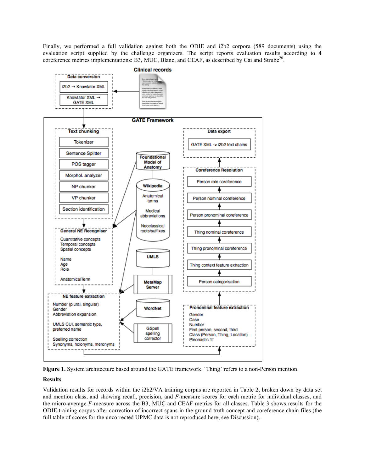Finally, we performed a full validation against both the ODIE and i2b2 corpora (589 documents) using the evaluation script supplied by the challenge organizers. The script reports evaluation results according to 4 coreference metrics implementations: B3, MUC, Blanc, and CEAF, as described by Cai and Strube<sup>20</sup>.



**Figure 1.** System architecture based around the GATE framework. 'Thing' refers to a non-Person mention.

#### **Results**

Validation results for records within the i2b2/VA training corpus are reported in Table 2, broken down by data set and mention class, and showing recall, precision, and *F*-measure scores for each metric for individual classes, and the micro-average *F*-measure across the B3, MUC and CEAF metrics for all classes. Table 3 shows results for the ODIE training corpus after correction of incorrect spans in the ground truth concept and coreference chain files (the full table of scores for the uncorrected UPMC data is not reproduced here; see Discussion).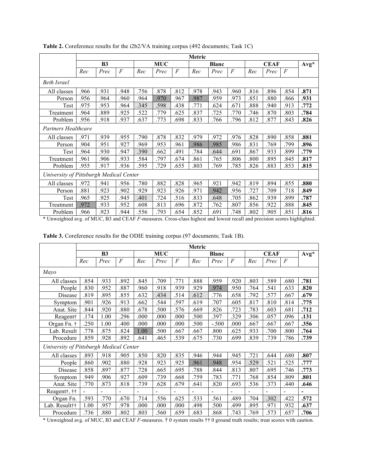|                                         | <b>Metric</b> |      |                |            |      |                |              |      |                |             |      |                |        |
|-----------------------------------------|---------------|------|----------------|------------|------|----------------|--------------|------|----------------|-------------|------|----------------|--------|
|                                         | <b>B3</b>     |      |                | <b>MUC</b> |      |                | <b>Blanc</b> |      |                | <b>CEAF</b> |      |                | $Avg*$ |
|                                         | Rec           | Prec | $\overline{F}$ | Rec        | Prec | $\overline{F}$ | Rec          | Prec | $\overline{F}$ | Rec         | Prec | $\overline{F}$ |        |
| <b>Beth Israel</b>                      |               |      |                |            |      |                |              |      |                |             |      |                |        |
| All classes                             | .966          | .931 | .948           | .756       | .878 | .812           | .978         | .943 | .960           | .816        | .896 | .854           | .871   |
| Person                                  | .956          | 964  | .960           | .964       | .970 | 967.           | .987         | 959. | .973           | .851        | .880 | .866           | .931   |
| Test                                    | .975          | 953  | 964.           | .345       | .598 | .438           | .771         | .624 | .671           | .888        | .940 | .913           | .772   |
| Treatment                               | .964          | .889 | .925           | .522       | .779 | .625           | .837         | .725 | .770           | .746        | .870 | .803           | .784   |
| Problem                                 | .956          | .918 | .937           | .637       | .773 | .698           | .833         | .766 | .796           | .812        | .877 | .843           | .826   |
| Partners Healthcare                     |               |      |                |            |      |                |              |      |                |             |      |                |        |
| All classes                             | .971          | .939 | .955           | .790       | .878 | .832           | .979         | .972 | .976           | 828         | .890 | .858           | .881   |
| Person                                  | .904          | 951  | 927.           | .969       | .953 | .961           | .986         | .985 | .986           | .831        | .769 | .799           | .896   |
| Test                                    | .964          | .930 | .947           | .390       | .662 | .491           | .784         | .644 | .691           | .867        | .933 | .899           | .779   |
| Treatment                               | .961          | 906  | .933           | .584       | .797 | .674           | .861         | .765 | .806           | .800        | .895 | .845           | .817   |
| Problem                                 | .955          | 917  | .936           | .595       | .729 | .655           | .803         | .769 | .785           | .826        | .883 | .853           | .815   |
| University of Pittsburgh Medical Center |               |      |                |            |      |                |              |      |                |             |      |                |        |
| All classes                             | .972          | .941 | 956            | .780       | .882 | .828           | .965         | .921 | .942           | .819        | .894 | .855           | .880   |
| Person                                  | .881          | .923 | .902           | .929       | .923 | .926           | .971         | .942 | .956           | .727        | .709 | .718           | .849   |
| Test                                    | .965          | .925 | .945           | .401       | .724 | .516           | .833         | .648 | .705           | .862        | .939 | .899           | .787   |
| Treatment                               | .972          | .933 | .952           | .608       | .813 | .696           | .872         | .762 | .807           | .856        | .922 | .888           | .845   |
| Problem                                 | 966           | 923  | 944.           | .556       | .793 | .654           | 852          | .691 | .748           | 802         | 905  | .851           | .816   |

Table 2. Coreference results for the i2b2/VA training corpus (492 documents; Task 1C)

\* Unweighted avg. of MUC, B3 and CEAF *F*-measures. Cross-class highest and lowest recall and precision scores highlighted.

|                                         | Metric         |                |                |                              |                          |                |              |                |                |                |                |                          |                              |
|-----------------------------------------|----------------|----------------|----------------|------------------------------|--------------------------|----------------|--------------|----------------|----------------|----------------|----------------|--------------------------|------------------------------|
|                                         | B <sub>3</sub> |                |                | <b>MUC</b>                   |                          |                | <b>Blanc</b> |                |                | <b>CEAF</b>    |                |                          | $Avg*$                       |
|                                         | Rec            | Prec           | $\overline{F}$ | Rec                          | Prec                     | $\overline{F}$ | Rec          | Prec           | $\overline{F}$ | Rec            | Prec           | $\overline{F}$           |                              |
| Mayo                                    |                |                |                |                              |                          |                |              |                |                |                |                |                          |                              |
| All classes                             | .854           | .933           | .892           | .845                         | .709                     | .771           | .888         | .959           | .920           | .803           | .589           | .680                     | .781                         |
| People                                  | .830           | .952           | .887           | .960                         | .918                     | .939           | 929.         | .974           | .950           | .764           | .541           | .633                     | .820                         |
| Disease                                 | .819           | .895           | .855           | .632                         | .434                     | .514           | .612         | .776           | .658           | .792           | .577           | .667                     | .679                         |
| Symptom                                 | .901           | 926            | .913           | .662                         | .544                     | .597           | .619         | .707           | .605           | .817           | .810           | .814                     | .775                         |
| Anat. Site                              | .844           | 920            | .880           | .678                         | 500                      | .576           | .669         | .826           | .723           | .783           | .603           | .681                     | .712                         |
| Reagent†                                | .174           | 1.00           | .296           | .000                         | 000.                     | .000           | .500         | .397           | .329           | .306           | .057           | .096                     | .131                         |
| Organ Fn. †                             | .250           | 1.00           | .400           | .000                         | .000                     | .000           | .500         | $-.500$        | .000           | .667           | .667           | .667                     | .356                         |
| Lab. Result                             | .778           | .875           | .824           | 1.00                         | .500                     | .667           | .667         | .800           | .625           | .933           | .700           | .800                     | .764                         |
| Procedure                               | .859           | .928           | .892           | .641                         | .465                     | .539           | .675         | .730           | .699           | .839           | .739           | .786                     | .739                         |
| University of Pittsburgh Medical Center |                |                |                |                              |                          |                |              |                |                |                |                |                          |                              |
| All classes                             | .893           | .918           | .905           | .850                         | .820                     | .835           | .946         | .944           | .945           | .721           | .644           | .680                     | .807                         |
| People                                  | .860           | 902            | .880           | .928                         | .923                     | .925           | .961         | .948           | .954           | .529           | .521           | .525                     | .777                         |
| Disease                                 | .858           | .897           | .877           | .728                         | .665                     | .695           | .788         | .844           | .813           | .807           | .695           | .746                     | .773                         |
| Symptom                                 | .949           | .906           | .927           | .609                         | .739                     | .668           | .759         | .783           | .771           | .768           | .854           | .809                     | .801                         |
| Anat. Site                              | .770           | .873           | .818           | .739                         | .628                     | .679           | .641         | .820           | .693           | .536           | .373           | .440                     | .646                         |
| Reagent†, ††                            | ä,             | $\blacksquare$ | $\blacksquare$ | $\qquad \qquad \blacksquare$ | $\overline{\phantom{a}}$ | $\blacksquare$ | ÷,           | $\blacksquare$ | ÷,             | $\blacksquare$ | $\blacksquare$ | $\overline{\phantom{a}}$ | $\qquad \qquad \blacksquare$ |
| Organ Fn.                               | .593           | .770           | .670           | .714                         | .556                     | .625           | .533         | .561           | .489           | .704           | .302           | .422                     | .572                         |
| Lab. Result††                           | 1.00           | 957.           | .978           | .000                         | .000                     | .000           | .498         | .500           | .499           | .895           | .971           | .932                     | .637                         |
| Procedure                               | .736           | .880           | .802           | 803                          | .560                     | .659           | .683         | .868           | .743           | .769           | .573           | .657                     | .706                         |

**Table 3.** Coreference results for the ODIE training corpus (97 documents; Task 1B).

\* Unweighted avg. of MUC, B3 and CEAF *F*-measures. † 0 system results †† 0 ground truth results; treat scores with caution.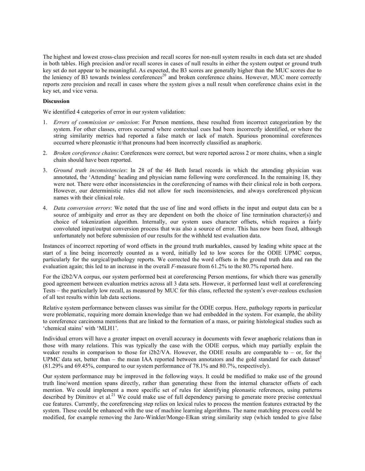The highest and lowest cross-class precision and recall scores for non-null system results in each data set are shaded in both tables. High precision and/or recall scores in cases of null results in either the system output or ground truth key set do not appear to be meaningful. As expected, the B3 scores are generally higher than the MUC scores due to the leniency of B3 towards twinless coreferences<sup>20</sup> and broken coreference chains. However, MUC more correctly reports zero precision and recall in cases where the system gives a null result when coreference chains exist in the key set, and vice versa.

#### **Discussion**

We identified 4 categories of error in our system validation:

- 1. *Errors of commission or omission*: For Person mentions, these resulted from incorrect categorization by the system. For other classes, errors occurred where contextual cues had been incorrectly identified, or where the string similarity metrics had reported a false match or lack of match. Spurious pronominal coreferences occurred where pleonastic it/that pronouns had been incorrectly classified as anaphoric.
- 2. *Broken coreference chains*: Coreferences were correct, but were reported across 2 or more chains, when a single chain should have been reported.
- 3. *Ground truth inconsistencies*: In 28 of the 46 Beth Israel records in which the attending physician was annotated, the 'Attending' heading and physician name following were coreferenced. In the remaining 18, they were not. There were other inconsistencies in the coreferencing of names with their clinical role in both corpora. However, our deterministic rules did not allow for such inconsistencies, and always coreferenced physican names with their clinical role.
- 4. *Data conversion errors*: We noted that the use of line and word offsets in the input and output data can be a source of ambiguity and error as they are dependent on both the choice of line termination character(s) and choice of tokenization algorithm. Internally, our system uses character offsets, which requires a fairly convoluted input/output conversion process that was also a source of error. This has now been fixed, although unfortunately not before submission of our results for the withheld test evaluation data.

Instances of incorrect reporting of word offsets in the ground truth markables, caused by leading white space at the start of a line being incorrectly counted as a word, initially led to low scores for the ODIE UPMC corpus, particularly for the surgical/pathology reports. We corrected the word offsets in the ground truth data and ran the evaluation again; this led to an increase in the overall *F*-measure from 61.2% to the 80.7% reported here.

For the i2b2/VA corpus, our system performed best at coreferencing Person mentions, for which there was generally good agreement between evaluation metrics across all 3 data sets. However, it performed least well at coreferencing Tests – the particularly low recall, as measured by MUC for this class, reflected the system's over-zealous exclusion of all test results within lab data sections.

Relative system performance between classes was similar for the ODIE corpus. Here, pathology reports in particular were problematic, requiring more domain knowledge than we had embedded in the system. For example, the ability to coreference carcinoma mentions that are linked to the formation of a mass, or pairing histological studies such as 'chemical stains' with 'MLH1'.

Individual errors will have a greater impact on overall accuracy in documents with fewer anaphoric relations than in those with many relations. This was typically the case with the ODIE corpus, which may partially explain the weaker results in comparison to those for i2b2/VA. However, the ODIE results are comparable to – or, for the UPMC data set, better than – the mean IAA reported between annotators and the gold standard for each dataset<sup>2</sup> (81.29% and 69.45%, compared to our system performance of 78.1% and 80.7%, respectively).

Our system performance may be improved in the following ways. It could be modified to make use of the ground truth line/word mention spans directly, rather than generating these from the internal character offsets of each mention. We could implement a more specific set of rules for identifying pleonastic references, using patterns described by Dimitrov et al.<sup>21</sup> We could make use of full dependency parsing to generate more precise contextual cue features. Currently, the coreferencing step relies on lexical rules to process the mention features extracted by the system. These could be enhanced with the use of machine learning algorithms. The name matching process could be modified, for example removing the Jaro-Winkler/Monge-Elkan string similarity step (which tended to give false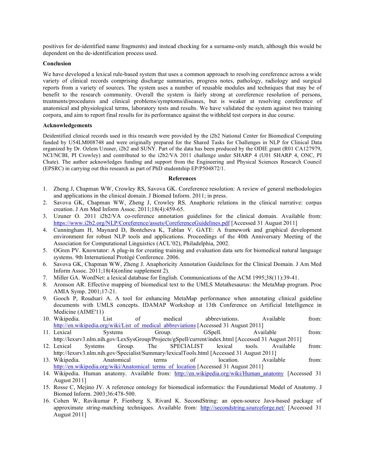positives for de-identified name fragments) and instead checking for a surname-only match, although this would be dependent on the de-identification process used.

#### **Conclusion**

We have developed a lexical rule-based system that uses a common approach to resolving coreference across a wide variety of clinical records comprising discharge summaries, progress notes, pathology, radiology and surgical reports from a variety of sources. The system uses a number of reusable modules and techniques that may be of benefit to the research community. Overall the system is fairly strong at coreference resolution of persons, treatments/procedures and clinical problems/symptoms/diseases, but is weaker at resolving coreference of anatomical and physiological terms, laboratory tests and results. We have validated the system against two training corpora, and aim to report final results for its performance against the withheld test corpora in due course.

#### **Acknowledgements**

Deidentified clinical records used in this research were provided by the i2b2 National Center for Biomedical Computing funded by U54LM008748 and were originally prepared for the Shared Tasks for Challenges in NLP for Clinical Data organized by Dr. Ozlem Uzuner, i2b2 and SUNY. Part of the data has been produced by the ODIE grant (R01 CA127979, NCI/NCBI, PI Crowley) and contributed to the i2b2/VA 2011 challenge under SHARP 4 (U01 SHARP 4, ONC, PI Chute). The author acknowledges funding and support from the Engineering and Physical Sciences Research Council (EPSRC) in carrying out this research as part of PhD studentship EP/P504872/1.

#### **References**

- 1. Zheng J, Chapman WW, Crowley RS, Savova GK. Coreference resolution: A review of general methodologies and applications in the clinical domain. J Biomed Inform. 2011; in press.
- 2. Savova GK, Chapman WW, Zheng J, Crowley RS. Anaphoric relations in the clinical narrative: corpus creation. J Am Med Inform Assoc. 2011;18(4):459-65.
- 3. Uzuner O. 2011 i2b2/VA co-reference annotation guidelines for the clinical domain. Available from: https://www.i2b2.org/NLP/Coreference/assets/CoreferenceGuidelines.pdf [Accessed 31 August 2011]
- 4. Cunningham H, Maynard D, Bontcheva K, Tablan V. GATE: A framework and graphical development environment for robust NLP tools and applications. Proceedings of the 40th Anniversary Meeting of the Association for Computational Linguistics (ACL'02), Philadelphia, 2002.
- 5. OGren PV. Knowtator: A plug-in for creating training and evaluation data sets for biomedical natural language systems. 9th International Protégé Conference. 2006.
- 6. Savova GK, Chapman WW, Zheng J. Anaphoricity Annotation Guidelines for the Clinical Domain. J Am Med Inform Assoc. 2011;18(4)(online supplement 2).
- 7. Miller GA. WordNet: a lexical database for English. Communications of the ACM 1995;38(11):39-41.
- 8. Aronson AR. Effective mapping of biomedical text to the UMLS Metathesaurus: the MetaMap program. Proc AMIA Symp. 2001;17-21.
- 9. Gooch P, Roudsari A. A tool for enhancing MetaMap performance when annotating clinical guideline documents with UMLS concepts. IDAMAP Workshop at 13th Conference on Artificial Intelligence in Medicine (AIME'11)
- 10. Wikipedia. List of medical abbreviations. Available from: http://en.wikipedia.org/wiki/List\_of\_medical\_abbreviations [Accessed 31 August 2011]
- 11. Lexical Systems Group. GSpell. Available from: http://lexsrv3.nlm.nih.gov/LexSysGroup/Projects/gSpell/current/index.html [Accessed 31 August 2011]
- 12. Lexical Systems Group. The SPECIALIST lexical tools. Available from: http://lexsrv3.nlm.nih.gov/Specialist/Summary/lexicalTools.html [Accessed 31 August 2011]
- 13. Wikipedia. Anatomical terms of location. Available from: http://en.wikipedia.org/wiki/Anatomical\_terms\_of\_location [Accessed 31 August 2011]
- 14. Wikipedia. Human anatomy. Available from: http://en.wikipedia.org/wiki/Human anatomy [Accessed 31 August 2011]
- 15. Rosse C, Mejino JV. A reference ontology for biomedical informatics: the Foundational Model of Anatomy. J Biomed Inform. 2003;36:478-500.
- 16. Cohen W, Ravikumar P, Fienberg S, Rivard K. SecondString: an open-source Java-based package of approximate string-matching techniques. Available from: http://secondstring.sourceforge.net/ [Accessed 31 August 2011]